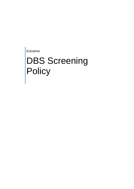Extratime

# DBS Screening **Policy**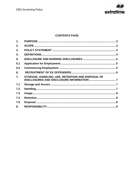

# **CONTENTS PAGE**

| 1.  |                                                   |  |
|-----|---------------------------------------------------|--|
| 2.  |                                                   |  |
| 3.  |                                                   |  |
| 4.  |                                                   |  |
| 5.  |                                                   |  |
| 5.1 |                                                   |  |
| 5.2 |                                                   |  |
| 6.  |                                                   |  |
| 7.  | STORAGE, HANDLING, USE, RETENTION AND DISPOSAL OF |  |
| 7.1 |                                                   |  |
| 7.2 |                                                   |  |
| 7.3 |                                                   |  |
| 7.4 |                                                   |  |
| 7.5 |                                                   |  |
| 8.  |                                                   |  |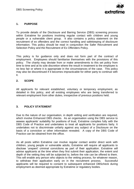

# <span id="page-2-0"></span>**1. PURPOSE**

To provide details of the Disclosure and Barring Service (DBS) screening process within Extratime for positions involving regular contact with children and young people or a vulnerable client group. It also contains a policy statement on the recruitment of ex offenders and the correct handling and safekeeping of disclosure information. This policy should be read in conjunction the Safer Recruitment and Selection Policy and the Recruitment of Ex Offenders Policy.

This policy is for guidance only and does not form part of the contract of employment. Employees should familiarise themselves with the provisions of this policy. The charity may deviate from or make amendments to this set policy from time to time and at its sole discretion where the result in treatment to the employee is no less fair or where it is appropriate in the circumstances of the case. This policy may also be discontinued if it becomes impracticable for either party to continue with it.

#### <span id="page-2-1"></span>**2. SCOPE**

All applicants for relevant established, voluntary or temporary employment, as detailed in this policy, and all existing employees who are being transferred to relevant employment from other duties, irrespective of previous positions held.

#### <span id="page-2-2"></span>**3. POLICY STATEMENT**

Due to the nature of our organisation, in depth vetting and verification are required, which involve Enhanced DBS checks. As an organisation using the DBS service to assess applicants' suitability for positions of trust, Extratime complies fully with the DBS Code of Practice and undertakes to treat all applicants for positions fairly. It undertakes not to discriminate unfairly against any subject of a Disclosure on the basis of a conviction or other information revealed. A copy of the DBS Code of Practice can be obtained from the office.

<span id="page-2-3"></span>As all posts within Extratime can involve regular contact and/or direct work with children, young people or vulnerable adults, Extratime will require all applicants to disclose 'unspent' criminal convictions as part of their application. Extratime will advise applicants at the time when they first submit their application, the extent and depth of the vetting they will be subjected to, before the role can be offered to them. This will enable any person who objects to the vetting process, for whatever reason, to withdraw their application early on in the recruitment process. Successful applicants will be required to consent to subsequent enhanced DBScheck during employment as deemed appropriate by Extratime or regulatory bodies.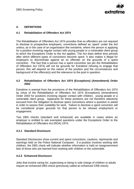

# **4. DEFINITIONS**

#### **4.1 Rehabilitation of Offenders Act 1974**

The Rehabilitation of Offenders Act 1974 provides that ex-offenders are not required to disclose to prospective employers, convictions defined as 'spent' under the Act unless, as in the case of an organisation like extratime, where the person is applying for a position involving regular contact with young people or a vulnerable client group to which the Exceptions Order to the Act applies. The Act does define time periods after which different types of convictions become spent. It also makes it illegal for employers to discriminate against an ex offender on the grounds of a spent conviction. The fact that a person has a spent conviction (as per the Rehabilitation of Offenders Act 1974) will not be grounds for Extratime refusing to engage that person; this will depend on the nature of the position and the circumstances and background of the offence(s) and the relevance to the post in question.

#### **4.2 Rehabilitation of Offenders Act 1974 (Exceptions) (Amendment) Order 2002**

Extratime is exempt from the provisions of the Rehabilitation of Offenders Act 1974 by virtue of the Rehabilitation of Offenders Act 1974 (Exceptions) (Amendment) Order 2002 for positions involving regular contact with children, young people or a vulnerable client group. Applicants for these positions are not therefore statutorily excused from the obligation to disclose spent convictions where a question is asked in order to assess their suitability for work. Failure to disclose a spent conviction will be considered proper grounds for that person to be refused employment or engagement.

Two DBS checks (standard and enhanced) are available in cases where an employer is entitled to ask exempted questions under the Exceptions Order to the Rehabilitation of Offenders Act (ROA) 1974:

#### **4.2.1 Standard Disclosure**

Standard Disclosures show current and spent convictions, cautions, reprimands and warnings held on the Police National Computer. If a position involves working with children, the DBS check will indicate whether information is held on twogovernment lists of those who are banned from working with children or the vulnerable.

#### **4.2.2 Enhanced Disclosure**

Jobs that involve caring for, supervising or being in sole charge of children or adults require an enhanced DBS check (previously called an enhanced CRB check).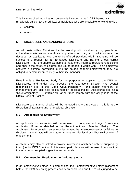

This includes checking whether someone is included in the 2 DBS 'barred lists' (previously called ISA barred lists) of individuals who are unsuitable for working with:

- children
- adults

# <span id="page-4-0"></span>**5. DISCLOSURE AND BARRING CHECKS**

As all posts within Extratime involve working with children, young people or vulnerable adults and/or are those in positions of trust, all convictions must be declared, as applicants who are to be offered positions within Extratime will be subject to a request for an Enhanced Disclosure and Barring Check (DBS) Disclosure. This is to enable Extratime to make more informed recruitment decisions and ensure the safety of children and young people it works with. If an employee acquires a criminal conviction during the course of their employment, they are obliged to declare it immediately to their line manager.

Extratime is a Registered Body for the purposes of applying to the DBS for Disclosures, and under this process, the Operations Director has overall responsibility (i.e. is the "Lead Countersignatory"), and senior members of management are also able to countersign applications for Disclosures (i.e. as a "Countersignatory"). Extratime will at all times comply with the obligations of the DBS's Code of Practice.

Disclosure and Barring checks will be renewed every three years – this is at the discretion of Extratime and is not a legal obligation.

# <span id="page-4-1"></span>**5.1 Application for Employment**

All applicants for vacancies will be required to complete and sign Extratime's Application Form as detailed in the Recruitment and Selection Policy. The Application Form contains an acknowledgement that misrepresentation or failure to disclose material facts will constitute grounds for dismissal or withdrawal of offer of employment.

Applicants may also be asked to provide information which can only be supplied by them (i.e. for DBS Checks). In this event, particular care will be taken to ensure that the information supplied is genuine and accurate.

#### <span id="page-4-2"></span>**5.2 Commencing Employment or Voluntary work**

If an employee/volunteer is commencing their employment/voluntary placement before the DBS screening process has been concluded and the results judged to be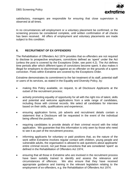

satisfactory, managers are responsible for ensuring that close supervision is observed at all times.

In no circumstances will employment or a voluntary placement be confirmed, or the screening process be considered complete, until written confirmation of all checks has been received. All offers of employment and voluntary placements are made subject to this condition.

# <span id="page-5-0"></span>**6. RECRUITMENT OF EX OFFENDERS**

The Rehabilitation of Offenders Act 1974 provides that ex-offenders are not required to disclose to prospective employers, convictions defined as 'spent' under the Act (unless the post is covered by the Exceptions Order, see point 4.2). The Act defines time periods after which different types of convictions become spent. It also makes it illegal for employers to discriminate against an ex offender on the grounds of a spent conviction. Posts within Extratime are covered by the Exceptions Order.

Extratime demonstrates its commitment to the fair treatment of its staff, potential staff or users of its services, as stated in the Equality and Diversity Policy, by:

- making this Policy available, on request, to all Disclosure Applicants at the outset of the recruitment process;
- actively promoting equality of opportunity for all with the right mix of talent, skills and potential and welcome applications from a wide range of candidates, including those with criminal records. We select all candidates for interview based on their skills, qualifications and experience;
- ensuring application forms, job adverts and recruitment details contain a statement that a Disclosure will be requested in the event of the individual being offered the position;
- requiring candidates to provide details of their criminal record with the initial application. We guarantee that this information is only seen by those who need to see it as part of the recruitment process;
- informing applicants for voluntary or paid positions that, as the nature of the work within Extratime involves regular contact with children, young people and vulnerable adults, the organisation is allowed to ask questions about applicants' entire criminal record, not just those convictions that are considered 'spent' as defined in the Rehabilitation of Offenders Act 1974;
- ensuring that all those in Extratime who are involved in the recruitment process have been suitably trained to identify and assess the relevance and circumstances of offences. We also ensure that they have received appropriate guidance and training in the relevant legislation relating to the employment of ex-offenders, e.g. the Rehabilitation of Offenders Act 1974.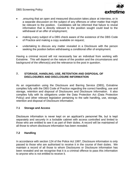

- ,ensuring that an open and measured discussion takes place at interview, or in a separate discussion on the subject of any offences or other matter that might be relevant to the position. Candidates will be informed that failure to reveal information that is directly relevant to the position sought could lead to the withdrawal of an offer of employment;
- making every subject of a DBS check aware of the existence of the DBS Code of Practice and making a copy available on request;
- undertaking to discuss any matter revealed in a Disclosure with the person seeking the position before withdrawing a conditional offer of employment.

Having a criminal record will not necessarily bar an individual from working with Extratime. This will depend on the nature of the position and the circumstances and background of the offence(s) and the relevance to the post in question.

#### <span id="page-6-0"></span>**7. STORAGE, HANDLING, USE, RETENTION AND DISPOSAL OF DISCLOSURES AND DISCLOSURE INFORMATION**

As an organisation using the Disclosure and Barring Service (DBS), Extratime complies fully with the DBS Code of Practice regarding the correct handling, use and storage, retention and disposal of Disclosures and Disclosure Information. It also complies fully with its obligations under the Data Protection Act (Data Protection Policy) and other relevant legislation pertaining to the safe handling, use, storage, retention and disposal of Disclosure information.

#### <span id="page-6-1"></span>**7.1 Storage and Access**

Disclosure information is never kept on an applicant's personnel file, but is kept separately and securely in a lockable cabinet with access controlled and limited to those who are entitled to see it as part of their duties. A record will be maintained of all those to whom disclosure information has been revealed.

# <span id="page-6-2"></span>**7.2 Handling**

In accordance with section 124 of the Police Act 1997, Disclosure information is only passed to those who are authorised to receive it in the course of their duties. We maintain a record of all those to whom Disclosures or Disclosure information has been revealed and we recognise that it is a criminal offence to pass this information to anyone who is not entitled to receive it.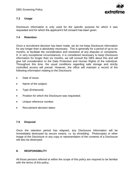

# <span id="page-7-0"></span>**7.3 Usage**

Disclosure information is only used for the specific purpose for which it was requested and for which the applicant's full consent has been given.

# <span id="page-7-1"></span>**7.4 Retention**

Once a recruitment decision has been made, we do not keep Disclosure information for any longer than is absolutely necessary. This is generally for a period of up to six months, to facilitate the consideration and resolution of any disputes or complaints. If, in very exceptional circumstances, it is considered necessary to keep Disclosure information for longer than six months, we will consult the DBS about this and will give full consideration to the Data Protection and Human Rights of the individual. Throughout this time, the usual conditions regarding safe storage and strictly controlled access will prevail. However, the office will maintain a record of the following information relating to the Disclosure:

- Date of issue;
- Name of the subject;
- Type (Enhanced);
- Position for which the Disclosure was requested;
- Unique reference number;
- Recruitment decision taken.

#### <span id="page-7-2"></span>**7.5 Disposal**

Once the retention period has elapsed, any Disclosure Information will be immediately destroyed by secure means, i.e. by shredding. Photocopies or other image of the Disclosure or any copy or representation of the contents of a Disclosure will also be destroyed.

### <span id="page-7-3"></span>**8. RESPONSIBILITY**

All those persons referred to within the scope of this policy are required to be familiar with the terms of this policy.